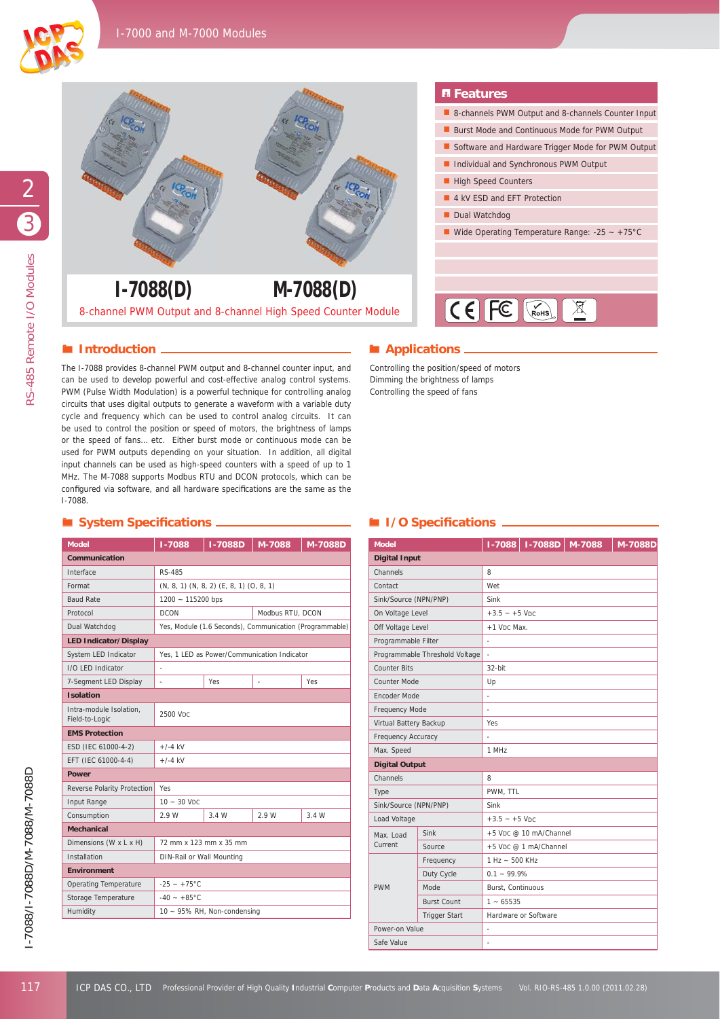



## **Introduction** *Applications*

### **System Specifi cations I/O Specifi cations**

| <b>Model</b>                              | <b>I-7088D</b><br>M-7088<br>1-7088              |                                                         | M-7088D          |       |  |  |
|-------------------------------------------|-------------------------------------------------|---------------------------------------------------------|------------------|-------|--|--|
| Communication                             |                                                 |                                                         |                  |       |  |  |
| Interface                                 | RS-485                                          |                                                         |                  |       |  |  |
| Format                                    | $(N, 8, 1)$ $(N, 8, 2)$ $(E, 8, 1)$ $(O, 8, 1)$ |                                                         |                  |       |  |  |
| <b>Baud Rate</b>                          | 1200 ~ 115200 bps                               |                                                         |                  |       |  |  |
| Protocol                                  | <b>DCON</b>                                     |                                                         | Modbus RTU, DCON |       |  |  |
| Dual Watchdog                             |                                                 | Yes, Module (1.6 Seconds), Communication (Programmable) |                  |       |  |  |
| <b>LED Indicator/Display</b>              |                                                 |                                                         |                  |       |  |  |
| System LED Indicator                      | Yes, 1 LED as Power/Communication Indicator     |                                                         |                  |       |  |  |
| I/O LED Indicator                         |                                                 |                                                         |                  |       |  |  |
| 7-Segment LED Display                     |                                                 | <b>Yes</b>                                              | i.               | Yes   |  |  |
| <b>Isolation</b>                          |                                                 |                                                         |                  |       |  |  |
| Intra-module Isolation.<br>Field-to-Logic | 2500 VDC                                        |                                                         |                  |       |  |  |
| <b>EMS Protection</b>                     |                                                 |                                                         |                  |       |  |  |
| ESD (IEC 61000-4-2)                       | $+/-4$ kV                                       |                                                         |                  |       |  |  |
| EFT (IEC 61000-4-4)                       | $+/-4$ kV                                       |                                                         |                  |       |  |  |
| Power                                     |                                                 |                                                         |                  |       |  |  |
| Reverse Polarity Protection               | Yes                                             |                                                         |                  |       |  |  |
| Input Range                               | $10 - 30$ V <sub>DC</sub>                       |                                                         |                  |       |  |  |
| Consumption                               | 2.9 W                                           | 3.4 W                                                   | 2.9 W            | 3.4 W |  |  |
| <b>Mechanical</b>                         |                                                 |                                                         |                  |       |  |  |
| Dimensions (W x L x H)                    | 72 mm x 123 mm x 35 mm                          |                                                         |                  |       |  |  |
| Installation                              | DIN-Rail or Wall Mounting                       |                                                         |                  |       |  |  |
| <b>Environment</b>                        |                                                 |                                                         |                  |       |  |  |
| <b>Operating Temperature</b>              | $-25 - +75$ °C                                  |                                                         |                  |       |  |  |
| Storage Temperature                       | $-40 - +85$ °C                                  |                                                         |                  |       |  |  |
| Humidity                                  |                                                 | $10 \sim 95\%$ RH, Non-condensing                       |                  |       |  |  |

## **F**eatures

- 8-channels PWM Output and 8-channels Counter Input
- Burst Mode and Continuous Mode for PWM Output
- Software and Hardware Trigger Mode for PWM Output
- **Individual and Synchronous PWM Output**
- High Speed Counters
- 4 kV ESD and EFT Protection
- Dual Watchdog
- Wide Operating Temperature Range:  $-25 \sim +75^{\circ}$ C



| 8-channel PWM Output and 8-channel High Speed Counter Module                                                                                                                                                                                                                                                                                                                                                                                                                                                                                                                                                                                                                                                                                                                                                                                                                                                              | $1-7088(D)$                                             |                                                 |                                             | $M-7088(D)$         |                        |                                                                                                                                    | $\mathbb{X}$<br>$\textsf{IC}\in\textsf{FC}$ $\boxed{\textsf{C}}$ |  |
|---------------------------------------------------------------------------------------------------------------------------------------------------------------------------------------------------------------------------------------------------------------------------------------------------------------------------------------------------------------------------------------------------------------------------------------------------------------------------------------------------------------------------------------------------------------------------------------------------------------------------------------------------------------------------------------------------------------------------------------------------------------------------------------------------------------------------------------------------------------------------------------------------------------------------|---------------------------------------------------------|-------------------------------------------------|---------------------------------------------|---------------------|------------------------|------------------------------------------------------------------------------------------------------------------------------------|------------------------------------------------------------------|--|
| $\blacksquare$ Introduction.                                                                                                                                                                                                                                                                                                                                                                                                                                                                                                                                                                                                                                                                                                                                                                                                                                                                                              |                                                         |                                                 |                                             |                     |                        | Applications _                                                                                                                     |                                                                  |  |
| The I-7088 provides 8-channel PWM output and 8-channel counter input, and<br>can be used to develop powerful and cost-effective analog control systems.<br>PWM (Pulse Width Modulation) is a powerful technique for controlling analog<br>circuits that uses digital outputs to generate a waveform with a variable duty<br>cycle and frequency which can be used to control analog circuits. It can<br>be used to control the position or speed of motors, the brightness of lamps<br>or the speed of fans etc. Either burst mode or continuous mode can be<br>used for PWM outputs depending on your situation. In addition, all digital<br>input channels can be used as high-speed counters with a speed of up to 1<br>MHz. The M-7088 supports Modbus RTU and DCON protocols, which can be<br>configured via software, and all hardware specifications are the same as the<br>$I - 7088.$<br>System Specifications _ |                                                         |                                                 |                                             |                     |                        | Controlling the position/speed of motors<br>Dimming the brightness of lamps<br>Controlling the speed of fans<br>I/O Specifications |                                                                  |  |
| <b>Model</b>                                                                                                                                                                                                                                                                                                                                                                                                                                                                                                                                                                                                                                                                                                                                                                                                                                                                                                              | 1-7088                                                  | <b>I-7088D</b>                                  | M-7088                                      | M-7088D             | <b>Model</b>           |                                                                                                                                    | $I-7088D$<br>M-7088<br>1-7088                                    |  |
| Communication                                                                                                                                                                                                                                                                                                                                                                                                                                                                                                                                                                                                                                                                                                                                                                                                                                                                                                             |                                                         |                                                 |                                             |                     | <b>Digital Input</b>   |                                                                                                                                    |                                                                  |  |
| Interface                                                                                                                                                                                                                                                                                                                                                                                                                                                                                                                                                                                                                                                                                                                                                                                                                                                                                                                 | <b>RS-485</b>                                           |                                                 |                                             |                     | Channels               |                                                                                                                                    | 8                                                                |  |
| Format                                                                                                                                                                                                                                                                                                                                                                                                                                                                                                                                                                                                                                                                                                                                                                                                                                                                                                                    |                                                         | $(N, 8, 1)$ $(N, 8, 2)$ $(E, 8, 1)$ $(O, 8, 1)$ |                                             |                     | Contact                |                                                                                                                                    | Wet                                                              |  |
| <b>Baud Rate</b>                                                                                                                                                                                                                                                                                                                                                                                                                                                                                                                                                                                                                                                                                                                                                                                                                                                                                                          | 1200 ~ 115200 bps                                       |                                                 |                                             |                     | Sink/Source (NPN/PNP)  |                                                                                                                                    | Sink                                                             |  |
| Protocol                                                                                                                                                                                                                                                                                                                                                                                                                                                                                                                                                                                                                                                                                                                                                                                                                                                                                                                  | <b>DCON</b>                                             |                                                 | Modbus RTU, DCON                            |                     | On Voltage Level       |                                                                                                                                    | $+3.5 - +5$ VDC                                                  |  |
| Dual Watchdog                                                                                                                                                                                                                                                                                                                                                                                                                                                                                                                                                                                                                                                                                                                                                                                                                                                                                                             |                                                         |                                                 |                                             |                     | Off Voltage Level      |                                                                                                                                    | +1 V <sub>DC</sub> Max.                                          |  |
| <b>LED Indicator/Display</b>                                                                                                                                                                                                                                                                                                                                                                                                                                                                                                                                                                                                                                                                                                                                                                                                                                                                                              | Yes, Module (1.6 Seconds), Communication (Programmable) |                                                 |                                             | Programmable Filter |                        |                                                                                                                                    |                                                                  |  |
| System LED Indicator                                                                                                                                                                                                                                                                                                                                                                                                                                                                                                                                                                                                                                                                                                                                                                                                                                                                                                      |                                                         |                                                 | Yes, 1 LED as Power/Communication Indicator |                     |                        | Programmable Threshold Voltage                                                                                                     |                                                                  |  |
| I/O LED Indicator                                                                                                                                                                                                                                                                                                                                                                                                                                                                                                                                                                                                                                                                                                                                                                                                                                                                                                         |                                                         |                                                 |                                             |                     | <b>Counter Bits</b>    |                                                                                                                                    | 32-bit                                                           |  |
| 7-Segment LED Display                                                                                                                                                                                                                                                                                                                                                                                                                                                                                                                                                                                                                                                                                                                                                                                                                                                                                                     |                                                         | Yes                                             |                                             | Yes                 | Counter Mode           |                                                                                                                                    | Up                                                               |  |
| <b>Isolation</b>                                                                                                                                                                                                                                                                                                                                                                                                                                                                                                                                                                                                                                                                                                                                                                                                                                                                                                          |                                                         |                                                 |                                             |                     | Encoder Mode           |                                                                                                                                    |                                                                  |  |
| Intra-module Isolation,                                                                                                                                                                                                                                                                                                                                                                                                                                                                                                                                                                                                                                                                                                                                                                                                                                                                                                   |                                                         |                                                 |                                             |                     | Frequency Mode         |                                                                                                                                    |                                                                  |  |
| Field-to-Logic                                                                                                                                                                                                                                                                                                                                                                                                                                                                                                                                                                                                                                                                                                                                                                                                                                                                                                            | 2500 VDC                                                |                                                 |                                             |                     | Virtual Battery Backup |                                                                                                                                    | Yes                                                              |  |
| <b>EMS Protection</b>                                                                                                                                                                                                                                                                                                                                                                                                                                                                                                                                                                                                                                                                                                                                                                                                                                                                                                     |                                                         |                                                 |                                             |                     | Frequency Accuracy     |                                                                                                                                    |                                                                  |  |
| ESD (IEC 61000-4-2)                                                                                                                                                                                                                                                                                                                                                                                                                                                                                                                                                                                                                                                                                                                                                                                                                                                                                                       | $+/-4$ kV                                               |                                                 |                                             |                     | Max. Speed             |                                                                                                                                    | 1 MHz                                                            |  |
| EFT (IEC 61000-4-4)                                                                                                                                                                                                                                                                                                                                                                                                                                                                                                                                                                                                                                                                                                                                                                                                                                                                                                       | $+/-4$ kV                                               |                                                 |                                             |                     | <b>Digital Output</b>  |                                                                                                                                    |                                                                  |  |
| <b>Power</b>                                                                                                                                                                                                                                                                                                                                                                                                                                                                                                                                                                                                                                                                                                                                                                                                                                                                                                              |                                                         |                                                 |                                             |                     | Channels               |                                                                                                                                    | 8                                                                |  |
| Reverse Polarity Protection Yes                                                                                                                                                                                                                                                                                                                                                                                                                                                                                                                                                                                                                                                                                                                                                                                                                                                                                           |                                                         |                                                 | Type                                        |                     | PWM, TTL               |                                                                                                                                    |                                                                  |  |
| Input Range                                                                                                                                                                                                                                                                                                                                                                                                                                                                                                                                                                                                                                                                                                                                                                                                                                                                                                               | $10 - 30$ V <sub>DC</sub>                               |                                                 |                                             |                     | Sink/Source (NPN/PNP)  |                                                                                                                                    | Sink                                                             |  |
| Consumption                                                                                                                                                                                                                                                                                                                                                                                                                                                                                                                                                                                                                                                                                                                                                                                                                                                                                                               | 2.9 W                                                   | 3.4 W                                           | 2.9 W                                       | 3.4 W               | Load Voltage           |                                                                                                                                    | $+3.5 - +5$ VDC                                                  |  |
| <b>Mechanical</b>                                                                                                                                                                                                                                                                                                                                                                                                                                                                                                                                                                                                                                                                                                                                                                                                                                                                                                         |                                                         |                                                 |                                             |                     | Max. Load              | Sink                                                                                                                               | +5 VDC @ 10 mA/Channel                                           |  |
| Dimensions (W x L x H)                                                                                                                                                                                                                                                                                                                                                                                                                                                                                                                                                                                                                                                                                                                                                                                                                                                                                                    |                                                         | 72 mm x 123 mm x 35 mm                          |                                             |                     | Current                | Source                                                                                                                             | +5 VDC @ 1 mA/Channel                                            |  |
| Installation                                                                                                                                                                                                                                                                                                                                                                                                                                                                                                                                                                                                                                                                                                                                                                                                                                                                                                              |                                                         | DIN-Rail or Wall Mounting                       |                                             |                     |                        | Frequency                                                                                                                          | 1 Hz ~ 500 KHz                                                   |  |
| <b>Environment</b>                                                                                                                                                                                                                                                                                                                                                                                                                                                                                                                                                                                                                                                                                                                                                                                                                                                                                                        |                                                         |                                                 |                                             |                     |                        | Duty Cycle                                                                                                                         | $0.1 - 99.9%$                                                    |  |
| Operating Temperature                                                                                                                                                                                                                                                                                                                                                                                                                                                                                                                                                                                                                                                                                                                                                                                                                                                                                                     | $-25 - +75^{\circ}C$                                    |                                                 |                                             | <b>PWM</b>          | Mode                   | Burst, Continuous                                                                                                                  |                                                                  |  |
| Storage Temperature                                                                                                                                                                                                                                                                                                                                                                                                                                                                                                                                                                                                                                                                                                                                                                                                                                                                                                       | $-40 - +85^{\circ}$ C                                   |                                                 |                                             | <b>Burst Count</b>  | $1 - 65535$            |                                                                                                                                    |                                                                  |  |
|                                                                                                                                                                                                                                                                                                                                                                                                                                                                                                                                                                                                                                                                                                                                                                                                                                                                                                                           |                                                         | 10 ~ 95% RH, Non-condensing                     |                                             |                     |                        | Trigger Start                                                                                                                      | Hardware or Software                                             |  |
| Humidity                                                                                                                                                                                                                                                                                                                                                                                                                                                                                                                                                                                                                                                                                                                                                                                                                                                                                                                  |                                                         |                                                 |                                             |                     | Power-on Value         |                                                                                                                                    |                                                                  |  |
|                                                                                                                                                                                                                                                                                                                                                                                                                                                                                                                                                                                                                                                                                                                                                                                                                                                                                                                           |                                                         |                                                 |                                             |                     |                        |                                                                                                                                    |                                                                  |  |

2